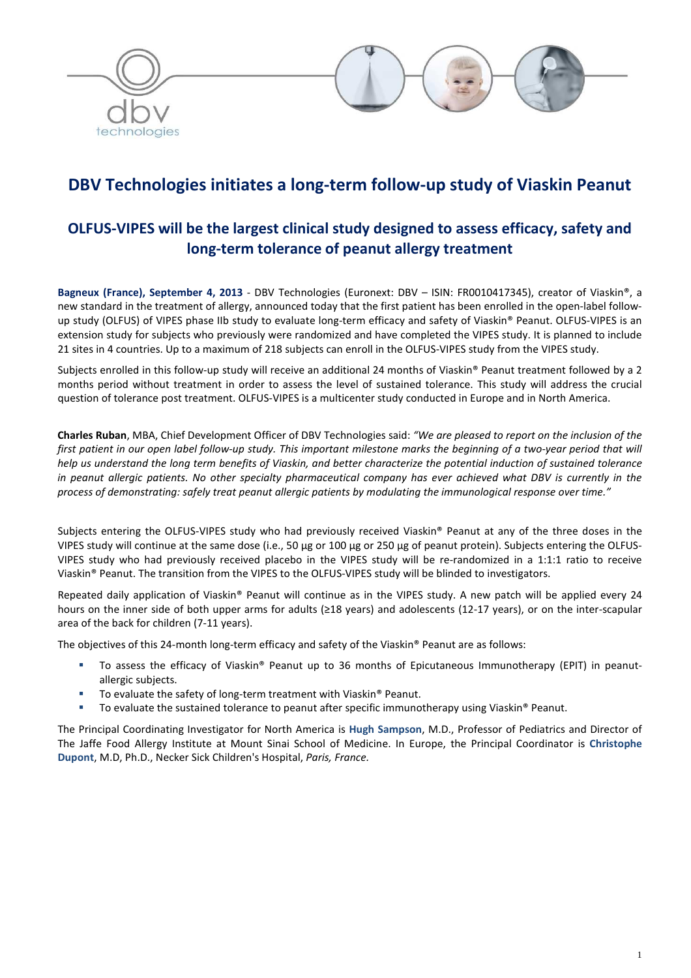

# **DBV Technologies initiates a long-term follow-up study of Viaskin Peanut**

## **OLFUS-VIPES will be the largest clinical study designed to assess efficacy, safety and long-term tolerance of peanut allergy treatment**

**Bagneux (France), September 4, 2013** - DBV Technologies (Euronext: DBV – ISIN: FR0010417345), creator of Viaskin®, a new standard in the treatment of allergy, announced today that the first patient has been enrolled in the open-label followup study (OLFUS) of VIPES phase IIb study to evaluate long-term efficacy and safety of Viaskin® Peanut. OLFUS-VIPES is an extension study for subjects who previously were randomized and have completed the VIPES study. It is planned to include 21 sites in 4 countries. Up to a maximum of 218 subjects can enroll in the OLFUS-VIPES study from the VIPES study.

Subjects enrolled in this follow-up study will receive an additional 24 months of Viaskin® Peanut treatment followed by a 2 months period without treatment in order to assess the level of sustained tolerance. This study will address the crucial question of tolerance post treatment. OLFUS-VIPES is a multicenter study conducted in Europe and in North America.

**Charles Ruban**, MBA, Chief Development Officer of DBV Technologies said: *"We are pleased to report on the inclusion of the first patient in our open label follow-up study. This important milestone marks the beginning of a two-year period that will help us understand the long term benefits of Viaskin, and better characterize the potential induction of sustained tolerance in peanut allergic patients. No other specialty pharmaceutical company has ever achieved what DBV is currently in the process of demonstrating: safely treat peanut allergic patients by modulating the immunological response over time."* 

Subjects entering the OLFUS-VIPES study who had previously received Viaskin® Peanut at any of the three doses in the VIPES study will continue at the same dose (i.e., 50 μg or 100 μg or 250 μg of peanut protein). Subjects entering the OLFUS-VIPES study who had previously received placebo in the VIPES study will be re-randomized in a 1:1:1 ratio to receive Viaskin® Peanut. The transition from the VIPES to the OLFUS-VIPES study will be blinded to investigators.

Repeated daily application of Viaskin® Peanut will continue as in the VIPES study. A new patch will be applied every 24 hours on the inner side of both upper arms for adults (≥18 years) and adolescents (12-17 years), or on the inter-scapular area of the back for children (7-11 years).

The objectives of this 24-month long-term efficacy and safety of the Viaskin® Peanut are as follows:

- To assess the efficacy of Viaskin® Peanut up to 36 months of Epicutaneous Immunotherapy (EPIT) in peanutallergic subjects.
- To evaluate the safety of long-term treatment with Viaskin® Peanut.
- To evaluate the sustained tolerance to peanut after specific immunotherapy using Viaskin® Peanut.

The Principal Coordinating Investigator for North America is **Hugh Sampson**, M.D., Professor of Pediatrics and Director of The Jaffe Food Allergy Institute at Mount Sinai School of Medicine. In Europe, the Principal Coordinator is **Christophe Dupont**, M.D, Ph.D., Necker Sick Children's Hospital, *Paris, France.*